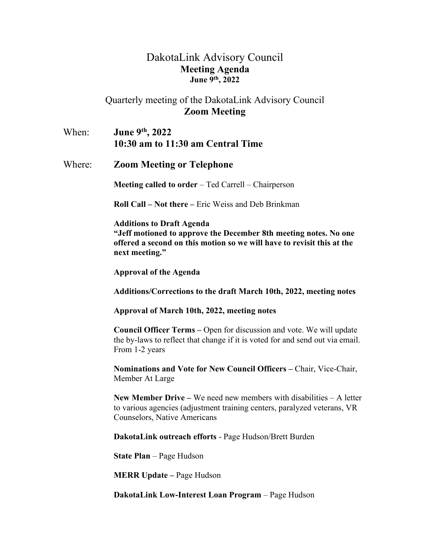## DakotaLink Advisory Council **Meeting Agenda June 9th, 2022**

## Quarterly meeting of the DakotaLink Advisory Council **Zoom Meeting**

When: **June 9th, 2022 10:30 am to 11:30 am Central Time**

Where: **Zoom Meeting or Telephone**

**Meeting called to order** – Ted Carrell – Chairperson

**Roll Call – Not there –** Eric Weiss and Deb Brinkman

**Additions to Draft Agenda "Jeff motioned to approve the December 8th meeting notes. No one offered a second on this motion so we will have to revisit this at the next meeting."** 

**Approval of the Agenda**

**Additions/Corrections to the draft March 10th, 2022, meeting notes**

## **Approval of March 10th, 2022, meeting notes**

**Council Officer Terms –** Open for discussion and vote. We will update the by-laws to reflect that change if it is voted for and send out via email. From 1-2 years

**Nominations and Vote for New Council Officers –** Chair, Vice-Chair, Member At Large

**New Member Drive –** We need new members with disabilities – A letter to various agencies (adjustment training centers, paralyzed veterans, VR Counselors, Native Americans

**DakotaLink outreach efforts** - Page Hudson/Brett Burden

**State Plan** – Page Hudson

**MERR Update –** Page Hudson

**DakotaLink Low-Interest Loan Program** – Page Hudson